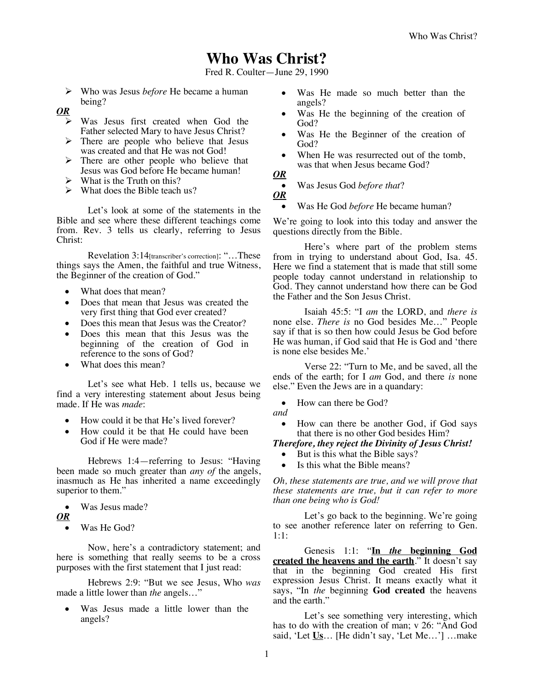# **Who Was Christ?**

Fred R. Coulter—June 29, 1990

- Ø Who was Jesus *before* He became a human being?
- *OR*
	- Ø Was Jesus first created when God the Father selected Mary to have Jesus Christ?
	- $\triangleright$  There are people who believe that Jesus was created and that He was not God!
	- $\triangleright$  There are other people who believe that Jesus was God before He became human!
	- $\triangleright$  What is the Truth on this?
	- $\triangleright$  What does the Bible teach us?

Let's look at some of the statements in the Bible and see where these different teachings come from. Rev. 3 tells us clearly, referring to Jesus Christ:

Revelation 3:14[transcriber's correction]: "…These things says the Amen, the faithful and true Witness, the Beginner of the creation of God."

- What does that mean?
- Does that mean that Jesus was created the very first thing that God ever created?
- Does this mean that Jesus was the Creator?
- Does this mean that this Jesus was the beginning of the creation of God in reference to the sons of God?
- What does this mean?

Let's see what Heb. 1 tells us, because we find a very interesting statement about Jesus being made. If He was *made*:

- How could it be that He's lived forever?
- How could it be that He could have been God if He were made?

Hebrews 1:4—referring to Jesus: "Having been made so much greater than *any of* the angels, inasmuch as He has inherited a name exceedingly superior to them."

- Was Jesus made?
- *OR*
	- Was He God?

Now, here's a contradictory statement; and here is something that really seems to be a cross purposes with the first statement that I just read:

Hebrews 2:9: "But we see Jesus, Who *was* made a little lower than *the* angels…"

Was Jesus made a little lower than the angels?

- Was He made so much better than the angels?
- Was He the beginning of the creation of God?
- Was He the Beginner of the creation of God?
- When He was resurrected out of the tomb, was that when Jesus became God?
- *OR*

• Was Jesus God *before that*? *OR*

• Was He God *before* He became human?

We're going to look into this today and answer the questions directly from the Bible.

Here's where part of the problem stems from in trying to understand about God, Isa. 45. Here we find a statement that is made that still some people today cannot understand in relationship to God. They cannot understand how there can be God the Father and the Son Jesus Christ.

Isaiah 45:5: "I *am* the LORD, and *there is* none else. *There is* no God besides Me…" People say if that is so then how could Jesus be God before He was human, if God said that He is God and 'there is none else besides Me.'

Verse 22: "Turn to Me, and be saved, all the ends of the earth; for I *am* God, and there *is* none else." Even the Jews are in a quandary:

• How can there be God?

- *and*
	- How can there be another God, if God says that there is no other God besides Him?

#### *Therefore, they reject the Divinity of Jesus Christ!*

- But is this what the Bible says?
- Is this what the Bible means?

*Oh, these statements are true, and we will prove that these statements are true, but it can refer to more than one being who is God!*

Let's go back to the beginning. We're going to see another reference later on referring to Gen. 1:1:

Genesis 1:1: "**In** *the* **beginning God**  created the heavens and the earth." It doesn't say that in the beginning God created His first expression Jesus Christ. It means exactly what it says, "In *the* beginning **God created** the heavens and the earth."

Let's see something very interesting, which has to do with the creation of man; v 26: "And God said, 'Let **Us**… [He didn't say, 'Let Me…'] …make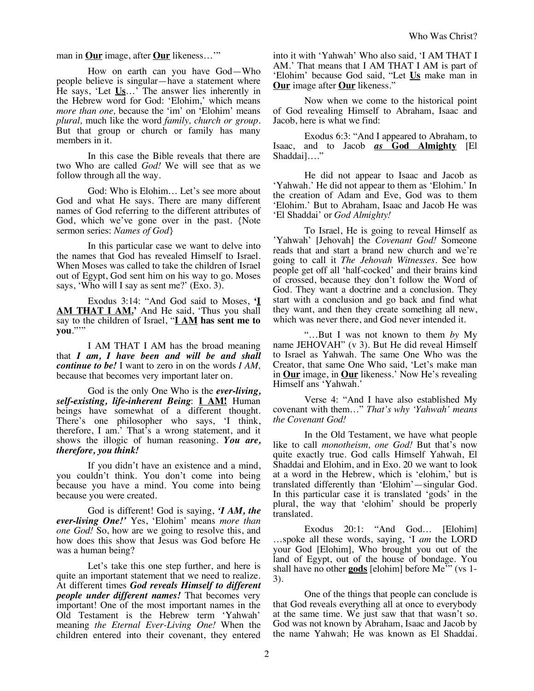man in **Our** image, after **Our** likeness…'"

How on earth can you have God—Who people believe is singular—have a statement where He says, 'Let Us...' The answer lies inherently in the Hebrew word for God: 'Elohim,' which means *more than one,* because the 'im' on 'Elohim' means *plural,* much like the word *family, church or group.*  But that group or church or family has many members in it.

In this case the Bible reveals that there are two Who are called *God!* We will see that as we follow through all the way.

God: Who is Elohim… Let's see more about God and what He says. There are many different names of God referring to the different attributes of God, which we've gone over in the past. {Note sermon series: *Names of God*}

In this particular case we want to delve into the names that God has revealed Himself to Israel. When Moses was called to take the children of Israel out of Egypt, God sent him on his way to go. Moses says, 'Who will I say as sent me?' (Exo. 3).

Exodus 3:14: "And God said to Moses, **'I AM THAT I AM.'** And He said, 'Thus you shall say to the children of Israel, "**I AM has sent me to you**."'"

I AM THAT I AM has the broad meaning that *I am, I have been and will be and shall continue to be!* I want to zero in on the words *I AM,* because that becomes very important later on.

God is the only One Who is the *ever-living, self-existing, life-inherent Being*: **I AM!** Human beings have somewhat of a different thought. There's one philosopher who says, 'I think, therefore, I am.' That's a wrong statement, and it shows the illogic of human reasoning. *You are, therefore, you think!*

If you didn't have an existence and a mind, you couldn't think. You don't come into being because you have a mind. You come into being because you were created.

God is different! God is saying, *'I AM, the ever-living One!'* Yes, 'Elohim' means *more than one God!* So, how are we going to resolve this, and how does this show that Jesus was God before He was a human being?

Let's take this one step further, and here is quite an important statement that we need to realize. At different times *God reveals Himself to different people under different names!* That becomes very important! One of the most important names in the Old Testament is the Hebrew term 'Yahwah' meaning *the Eternal Ever-Living One!* When the children entered into their covenant, they entered into it with 'Yahwah' Who also said, 'I AM THAT I AM.' That means that I AM THAT I AM is part of 'Elohim' because God said, "Let **Us** make man in **Our** image after **Our** likeness."

Now when we come to the historical point of God revealing Himself to Abraham, Isaac and Jacob, here is what we find:

Exodus 6:3: "And I appeared to Abraham, to Isaac, and to Jacob *as* **God Almighty** [El Shaddai]…."

He did not appear to Isaac and Jacob as 'Yahwah.' He did not appear to them as 'Elohim.' In the creation of Adam and Eve, God was to them 'Elohim.' But to Abraham, Isaac and Jacob He was 'El Shaddai' or *God Almighty!*

To Israel, He is going to reveal Himself as 'Yahwah' [Jehovah] the *Covenant God!* Someone reads that and start a brand new church and we're going to call it *The Jehovah Witnesses*. See how people get off all 'half-cocked' and their brains kind of crossed, because they don't follow the Word of God. They want a doctrine and a conclusion. They start with a conclusion and go back and find what they want, and then they create something all new, which was never there, and God never intended it.

"…But I was not known to them *by* My name JEHOVAH" (v 3). But He did reveal Himself to Israel as Yahwah. The same One Who was the Creator, that same One Who said, 'Let's make man in **Our** image, in **Our** likeness.' Now He's revealing Himself ans 'Yahwah.'

Verse 4: "And I have also established My covenant with them…" *That's why 'Yahwah' means the Covenant God!*

In the Old Testament, we have what people like to call *monotheism, one God!* But that's now quite exactly true. God calls Himself Yahwah, El Shaddai and Elohim, and in Exo. 20 we want to look at a word in the Hebrew, which is 'elohim,' but is translated differently than 'Elohim'—singular God. In this particular case it is translated 'gods' in the plural, the way that 'elohim' should be properly translated.

Exodus 20:1: "And God… [Elohim] …spoke all these words, saying, 'I *am* the LORD your God [Elohim], Who brought you out of the land of Egypt, out of the house of bondage. You shall have no other **gods** [elohim] before Me'" (vs 1- 3).

One of the things that people can conclude is that God reveals everything all at once to everybody at the same time. We just saw that that wasn't so. God was not known by Abraham, Isaac and Jacob by the name Yahwah; He was known as El Shaddai.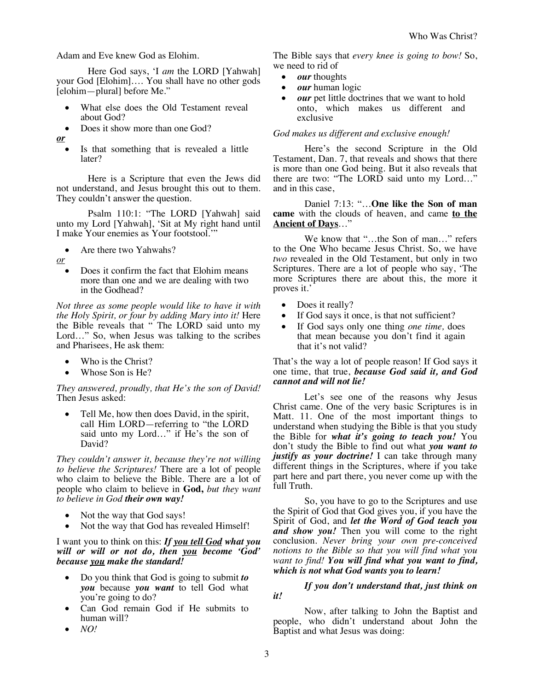Adam and Eve knew God as Elohim.

Here God says, 'I *am* the LORD [Yahwah] your God [Elohim]…. You shall have no other gods [elohim—plural] before Me."

- What else does the Old Testament reveal about God?
- Does it show more than one God?

*or* 

Is that something that is revealed a little later?

Here is a Scripture that even the Jews did not understand, and Jesus brought this out to them. They couldn't answer the question.

Psalm 110:1: "The LORD [Yahwah] said unto my Lord [Yahwah], 'Sit at My right hand until I make Your enemies as Your footstool.'"

Are there two Yahwahs?

*or*

• Does it confirm the fact that Elohim means more than one and we are dealing with two in the Godhead?

*Not three as some people would like to have it with the Holy Spirit, or four by adding Mary into it!* Here the Bible reveals that " The LORD said unto my Lord…" So, when Jesus was talking to the scribes and Pharisees, He ask them:

- Who is the Christ?
- Whose Son is He?

*They answered, proudly, that He's the son of David!* Then Jesus asked:

• Tell Me, how then does David, in the spirit, call Him LORD—referring to "the LORD said unto my Lord…" if He's the son of David?

*They couldn't answer it, because they're not willing to believe the Scriptures!* There are a lot of people who claim to believe the Bible. There are a lot of people who claim to believe in **God,** *but they want to believe in God their own way!*

- Not the way that God says!
- Not the way that God has revealed Himself!

I want you to think on this: *If you tell God what you will or will or not do, then you become 'God' because you make the standard!*

- Do you think that God is going to submit *to you* because *you want* to tell God what you're going to do?
- Can God remain God if He submits to human will?
- *NO!*

The Bible says that *every knee is going to bow!* So, we need to rid of

- *our* thoughts
- *our* human logic
- *our* pet little doctrines that we want to hold onto, which makes us different and exclusive

## *God makes us different and exclusive enough!*

Here's the second Scripture in the Old Testament, Dan. 7, that reveals and shows that there is more than one God being. But it also reveals that there are two: "The LORD said unto my Lord…" and in this case,

Daniel 7:13: "…**One like the Son of man came** with the clouds of heaven, and came **to the Ancient of Days**…"

We know that "...the Son of man..." refers to the One Who became Jesus Christ. So, we have *two* revealed in the Old Testament, but only in two Scriptures. There are a lot of people who say, 'The more Scriptures there are about this, the more it proves it.'

- Does it really?
- If God says it once, is that not sufficient?
- If God says only one thing *one time,* does that mean because you don't find it again that it's not valid?

That's the way a lot of people reason! If God says it one time, that true, *because God said it, and God cannot and will not lie!*

Let's see one of the reasons why Jesus Christ came. One of the very basic Scriptures is in Matt. 11. One of the most important things to understand when studying the Bible is that you study the Bible for *what it's going to teach you!* You don't study the Bible to find out what *you want to justify as your doctrine!* I can take through many different things in the Scriptures, where if you take part here and part there, you never come up with the full Truth.

So, you have to go to the Scriptures and use the Spirit of God that God gives you, if you have the Spirit of God, and *let the Word of God teach you and show you!* Then you will come to the right conclusion. *Never bring your own pre-conceived notions to the Bible so that you will find what you want to find! You will find what you want to find, which is not what God wants you to learn!*

# *If you don't understand that, just think on*

Now, after talking to John the Baptist and people, who didn't understand about John the Baptist and what Jesus was doing:

*it!*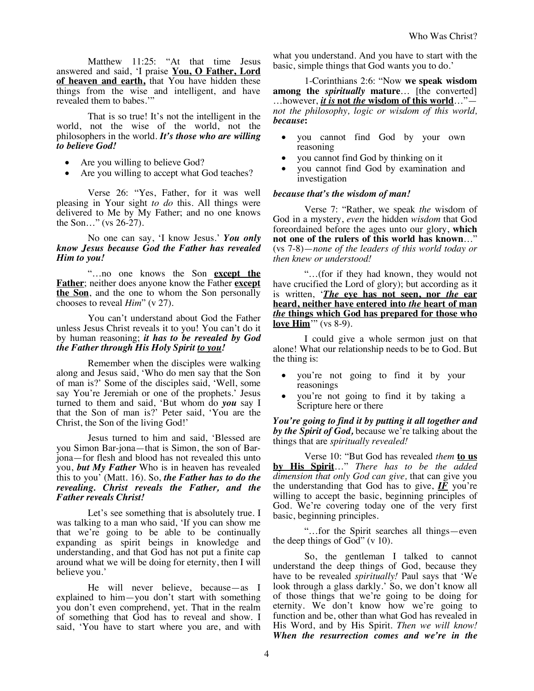Matthew 11:25: "At that time Jesus answered and said, 'I praise **You, O Father, Lord of heaven and earth,** that You have hidden these things from the wise and intelligent, and have revealed them to babes.'"

That is so true! It's not the intelligent in the world, not the wise of the world, not the philosophers in the world. *It's those who are willing to believe God!*

- Are you willing to believe God?
- Are you willing to accept what God teaches?

Verse 26: "Yes, Father, for it was well pleasing in Your sight *to do* this. All things were delivered to Me by My Father; and no one knows the Son…" (vs 26-27).

No one can say, 'I know Jesus.' *You only know Jesus because God the Father has revealed Him to you!*

"…no one knows the Son **except the Father**; neither does anyone know the Father **except the Son**, and the one to whom the Son personally chooses to reveal *Him*" (v 27).

You can't understand about God the Father unless Jesus Christ reveals it to you! You can't do it by human reasoning; *it has to be revealed by God the Father through His Holy Spirit to you!*

Remember when the disciples were walking along and Jesus said, 'Who do men say that the Son of man is?' Some of the disciples said, 'Well, some say You're Jeremiah or one of the prophets.' Jesus turned to them and said, 'But whom do *you* say I that the Son of man is?' Peter said, 'You are the Christ, the Son of the living God!'

Jesus turned to him and said, 'Blessed are you Simon Bar-jona—that is Simon, the son of Barjona—for flesh and blood has not revealed this unto you, *but My Father* Who is in heaven has revealed this to you' (Matt. 16). So, *the Father has to do the revealing. Christ reveals the Father, and the Father reveals Christ!*

Let's see something that is absolutely true. I was talking to a man who said, 'If you can show me that we're going to be able to be continually expanding as spirit beings in knowledge and understanding, and that God has not put a finite cap around what we will be doing for eternity, then I will believe you.'

He will never believe, because—as I explained to him—you don't start with something you don't even comprehend, yet. That in the realm of something that God has to reveal and show. I said, 'You have to start where you are, and with what you understand. And you have to start with the basic, simple things that God wants you to do.'

1-Corinthians 2:6: "Now **we speak wisdom among the** *spiritually* **mature**… [the converted] …however, *it is* **not** *the* **wisdom of this world**…" *not the philosophy, logic or wisdom of this world, because***:**

- you cannot find God by your own reasoning
- you cannot find God by thinking on it
- you cannot find God by examination and investigation

#### *because that's the wisdom of man!*

Verse 7: "Rather, we speak *the* wisdom of God in a mystery, *even* the hidden *wisdom* that God foreordained before the ages unto our glory, **which not one of the rulers of this world has known**…" (vs 7-8)—*none of the leaders of this world today or then knew or understood!*

"…(for if they had known, they would not have crucified the Lord of glory); but according as it is written, '*The* **eye has not seen, nor** *the* **ear heard, neither have entered into** *the* **heart of man**  *the* **things which God has prepared for those who love Him**" (vs 8-9).

I could give a whole sermon just on that alone! What our relationship needs to be to God. But the thing is:

- you're not going to find it by your reasonings
- you're not going to find it by taking a Scripture here or there

*You're going to find it by putting it all together and by the Spirit of God,* because we're talking about the things that are *spiritually revealed!*

Verse 10: "But God has revealed *them* **to us by His Spirit**…" *There has to be the added dimension that only God can give,* that can give you the understanding that God has to give, *IF* you're willing to accept the basic, beginning principles of God. We're covering today one of the very first basic, beginning principles.

"…for the Spirit searches all things—even the deep things of God" (v 10).

So, the gentleman I talked to cannot understand the deep things of God, because they have to be revealed *spiritually!* Paul says that 'We look through a glass darkly.' So, we don't know all of those things that we're going to be doing for eternity. We don't know how we're going to function and be, other than what God has revealed in His Word, and by His Spirit. *Then we will know! When the resurrection comes and we're in the*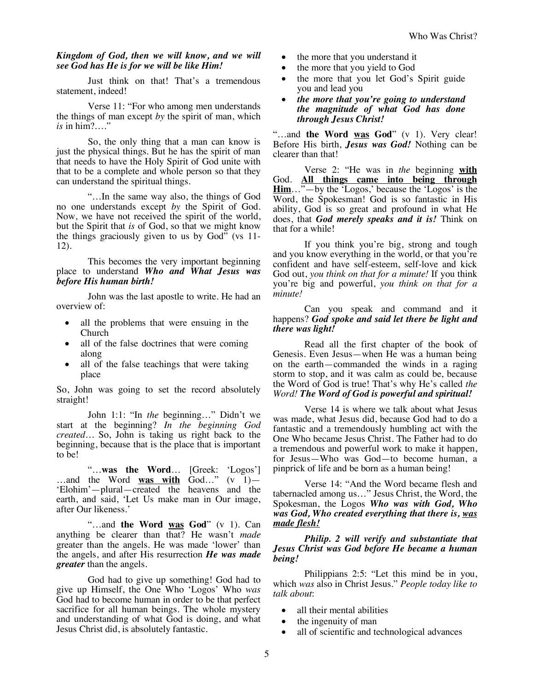#### *Kingdom of God, then we will know, and we will see God has He is for we will be like Him!*

Just think on that! That's a tremendous statement, indeed!

Verse 11: "For who among men understands the things of man except *by* the spirit of man, which *is* in him?…."

So, the only thing that a man can know is just the physical things. But he has the spirit of man that needs to have the Holy Spirit of God unite with that to be a complete and whole person so that they can understand the spiritual things.

"…In the same way also, the things of God no one understands except *by* the Spirit of God. Now, we have not received the spirit of the world, but the Spirit that *is* of God, so that we might know the things graciously given to us by  $God<sup>5</sup>$  (vs 11-12).

This becomes the very important beginning place to understand *Who and What Jesus was before His human birth!*

John was the last apostle to write. He had an overview of:

- all the problems that were ensuing in the Church
- all of the false doctrines that were coming along
- all of the false teachings that were taking place

So, John was going to set the record absolutely straight!

John 1:1: "In *the* beginning…" Didn't we start at the beginning? *In the beginning God created…* So, John is taking us right back to the beginning, because that is the place that is important to be!

"…**was the Word**… [Greek: 'Logos']<br>the Word was with God…" (v 1)— …and the Word was with God…" 'Elohim'—plural—created the heavens and the earth, and said, 'Let Us make man in Our image, after Our likeness.'

"…and **the Word was God**" (v 1). Can anything be clearer than that? He wasn't *made* greater than the angels. He was made 'lower' than the angels, and after His resurrection *He was made greater* than the angels.

God had to give up something! God had to give up Himself, the One Who 'Logos' Who *was* God had to become human in order to be that perfect sacrifice for all human beings. The whole mystery and understanding of what God is doing, and what Jesus Christ did, is absolutely fantastic.

- the more that you understand it
- the more that you yield to God
- the more that you let God's Spirit guide you and lead you
- *the more that you're going to understand the magnitude of what God has done through Jesus Christ!*

"…and **the Word was God**" (v 1). Very clear! Before His birth, *Jesus was God!* Nothing can be clearer than that!

Verse 2: "He was in *the* beginning **with** God. **All things came into being through Him**…"—by the 'Logos,' because the 'Logos' is the Word, the Spokesman! God is so fantastic in His ability, God is so great and profound in what He does, that *God merely speaks and it is!* Think on that for a while!

If you think you're big, strong and tough and you know everything in the world, or that you're confident and have self-esteem, self-love and kick God out, *you think on that for a minute!* If you think you're big and powerful, *you think on that for a minute!*

#### Can you speak and command and it happens? *God spoke and said let there be light and there was light!*

Read all the first chapter of the book of Genesis. Even Jesus—when He was a human being on the earth—commanded the winds in a raging storm to stop, and it was calm as could be, because the Word of God is true! That's why He's called *the Word! The Word of God is powerful and spiritual!*

Verse 14 is where we talk about what Jesus was made, what Jesus did, because God had to do a fantastic and a tremendously humbling act with the One Who became Jesus Christ. The Father had to do a tremendous and powerful work to make it happen, for Jesus—Who was God—to become human, a pinprick of life and be born as a human being!

Verse 14: "And the Word became flesh and tabernacled among us…" Jesus Christ, the Word, the Spokesman, the Logos *Who was with God, Who was God, Who created everything that there is, was made flesh!*

#### *Philip. 2 will verify and substantiate that Jesus Christ was God before He became a human being!*

Philippians 2:5: "Let this mind be in you, which *was* also in Christ Jesus." *People today like to talk about*:

- all their mental abilities
- the ingenuity of man
- all of scientific and technological advances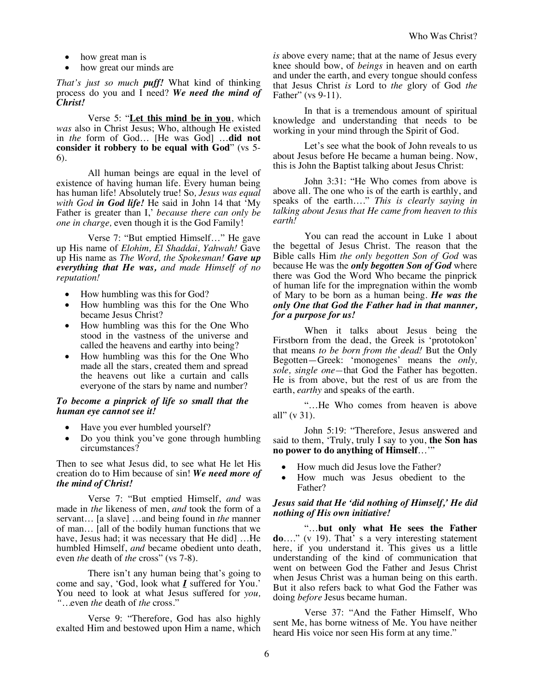- how great man is
- how great our minds are

*That's just so much puff!* What kind of thinking process do you and I need? *We need the mind of Christ!*

Verse 5: "**Let this mind be in you**, which *was* also in Christ Jesus; Who, although He existed in *the* form of God… [He was God] …**did not consider it robbery to be equal with God**" (vs 5- 6).

All human beings are equal in the level of existence of having human life. Every human being has human life! Absolutely true! So*, Jesus was equal with God in God life!* He said in John 14 that 'My Father is greater than I,' *because there can only be one in charge,* even though it is the God Family!

Verse 7: "But emptied Himself…" He gave up His name of *Elohim, El Shaddai, Yahwah!* Gave up His name as *The Word, the Spokesman! Gave up everything that He was, and made Himself of no reputation!*

- How humbling was this for God?
- How humbling was this for the One Who became Jesus Christ?
- How humbling was this for the One Who stood in the vastness of the universe and called the heavens and earthy into being?
- How humbling was this for the One Who made all the stars, created them and spread the heavens out like a curtain and calls everyone of the stars by name and number?

#### *To become a pinprick of life so small that the human eye cannot see it!*

- Have you ever humbled yourself?
- Do you think you've gone through humbling circumstances?

Then to see what Jesus did, to see what He let His creation do to Him because of sin! *We need more of the mind of Christ!*

Verse 7: "But emptied Himself, *and* was made in *the* likeness of men, *and* took the form of a servant… [a slave] …and being found in *the* manner of man… [all of the bodily human functions that we have, Jesus had; it was necessary that He did [... He humbled Himself, *and* became obedient unto death, even *the* death of *the* cross" (vs 7-8).

There isn't any human being that's going to come and say, 'God, look what *I* suffered for You.' You need to look at what Jesus suffered for *you, "…*even *the* death of *the* cross*.*"

Verse 9: "Therefore, God has also highly exalted Him and bestowed upon Him a name, which *is* above every name; that at the name of Jesus every knee should bow, of *beings* in heaven and on earth and under the earth, and every tongue should confess that Jesus Christ *is* Lord to *the* glory of God *the* Father" (vs 9-11).

In that is a tremendous amount of spiritual knowledge and understanding that needs to be working in your mind through the Spirit of God.

Let's see what the book of John reveals to us about Jesus before He became a human being. Now, this is John the Baptist talking about Jesus Christ:

John 3:31: "He Who comes from above is above all. The one who is of the earth is earthly, and speaks of the earth…." *This is clearly saying in talking about Jesus that He came from heaven to this earth!*

You can read the account in Luke 1 about the begettal of Jesus Christ. The reason that the Bible calls Him *the only begotten Son of God* was because He was the *only begotten Son of God* where there was God the Word Who became the pinprick of human life for the impregnation within the womb of Mary to be born as a human being. *He was the only One that God the Father had in that manner, for a purpose for us!*

When it talks about Jesus being the Firstborn from the dead, the Greek is 'prototokon' that means *to be born from the dead!* But the Only Begotten—Greek: 'monogenes' means the *only, sole, single one—*that God the Father has begotten. He is from above, but the rest of us are from the earth, *earthy* and speaks of the earth.

"…He Who comes from heaven is above all" (v 31).

John 5:19: "Therefore, Jesus answered and said to them, 'Truly, truly I say to you, **the Son has no power to do anything of Himself**…'"

- How much did Jesus love the Father?
- How much was Jesus obedient to the Father?

#### *Jesus said that He 'did nothing of Himself,' He did nothing of His own initiative!*

"…**but only what He sees the Father do**…." (v 19). That' s a very interesting statement here, if you understand it. This gives us a little understanding of the kind of communication that went on between God the Father and Jesus Christ when Jesus Christ was a human being on this earth. But it also refers back to what God the Father was doing *before* Jesus became human.

Verse 37: "And the Father Himself, Who sent Me, has borne witness of Me. You have neither heard His voice nor seen His form at any time."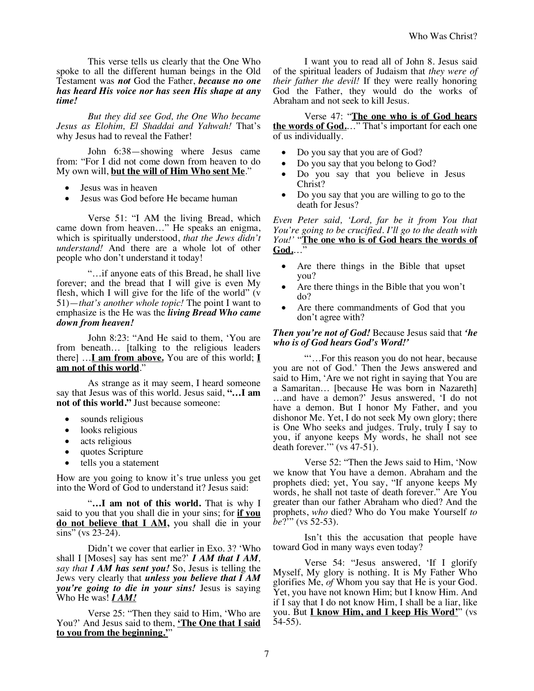This verse tells us clearly that the One Who spoke to all the different human beings in the Old Testament was *not* God the Father, *because no one has heard His voice nor has seen His shape at any time!* 

*But they did see God, the One Who became Jesus as Elohim, El Shaddai and Yahwah!* That's why Jesus had to reveal the Father!

John 6:38—showing where Jesus came from: "For I did not come down from heaven to do My own will, **but the will of Him Who sent Me**."

- Jesus was in heaven
- Jesus was God before He became human

Verse 51: "I AM the living Bread, which came down from heaven…" He speaks an enigma, which is spiritually understood, *that the Jews didn't understand!* And there are a whole lot of other people who don't understand it today!

"…if anyone eats of this Bread, he shall live forever; and the bread that I will give is even My flesh, which I will give for the life of the world" (v 51)—*that's another whole topic!* The point I want to emphasize is the He was the *living Bread Who came down from heaven!*

John 8:23: "And He said to them, 'You are from beneath… [talking to the religious leaders there] …**I am from above.** You are of this world; **I am not of this world**."

As strange as it may seem, I heard someone say that Jesus was of this world. Jesus said, **"…I am not of this world."** Just because someone:

- sounds religious
- looks religious
- acts religious
- quotes Scripture
- tells you a statement

How are you going to know it's true unless you get into the Word of God to understand it? Jesus said:

"**…I am not of this world.** That is why I said to you that you shall die in your sins; for **if you do not believe that I AM,** you shall die in your sins" (vs 23-24).

Didn't we cover that earlier in Exo. 3? 'Who shall I [Moses] say has sent me?' *I AM that I AM, say that I AM has sent you!* So, Jesus is telling the Jews very clearly that *unless you believe that I AM you're going to die in your sins!* Jesus is saying Who He was! *I AM!*

Verse 25: "Then they said to Him, 'Who are You?' And Jesus said to them, **'The One that I said to you from the beginning.'**"

I want you to read all of John 8. Jesus said of the spiritual leaders of Judaism that *they were of their father the devil!* If they were really honoring God the Father, they would do the works of Abraham and not seek to kill Jesus.

Verse 47: "**The one who is of God hears the words of God.**…" That's important for each one of us individually.

- Do you say that you are of God?
- Do you say that you belong to God?
- Do you say that you believe in Jesus Christ?
- Do you say that you are willing to go to the death for Jesus?

*Even Peter said, 'Lord, far be it from You that You're going to be crucified. I'll go to the death with You!'* "**The one who is of God hears the words of God.**…"

- Are there things in the Bible that upset you?
- Are there things in the Bible that you won't do?
- Are there commandments of God that you don't agree with?

#### *Then you're not of God!* Because Jesus said that *'he who is of God hears God's Word!'*

"'…For this reason you do not hear, because you are not of God.' Then the Jews answered and said to Him, 'Are we not right in saying that You are a Samaritan… [because He was born in Nazareth] …and have a demon?' Jesus answered, 'I do not have a demon. But I honor My Father, and you dishonor Me. Yet, I do not seek My own glory; there is One Who seeks and judges. Truly, truly I say to you, if anyone keeps My words, he shall not see death forever.'" (vs 47-51).

Verse 52: "Then the Jews said to Him, 'Now we know that You have a demon. Abraham and the prophets died; yet, You say, "If anyone keeps My words, he shall not taste of death forever." Are You greater than our father Abraham who died? And the prophets, *who* died? Who do You make Yourself *to*   $be?''''$  (vs 52-53).

Isn't this the accusation that people have toward God in many ways even today?

Verse 54: "Jesus answered, 'If I glorify Myself, My glory is nothing. It is My Father Who glorifies Me, *of* Whom you say that He is your God. Yet, you have not known Him; but I know Him. And if I say that I do not know Him, I shall be a liar, like you. But **I know Him, and I keep His Word'**" (vs 54-55).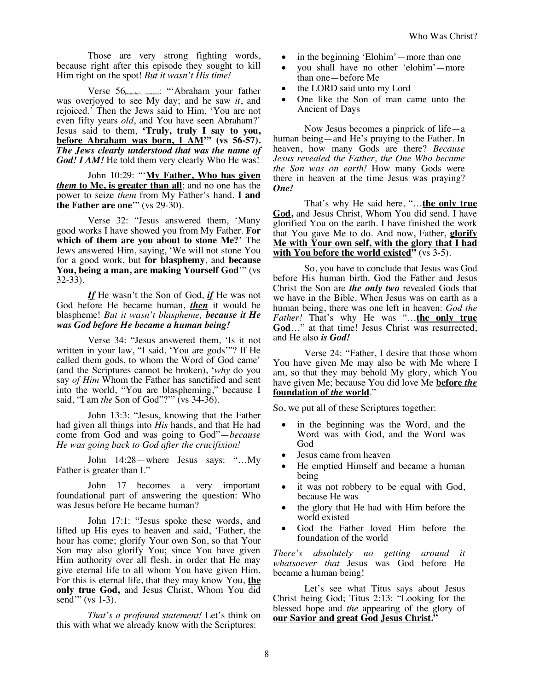Those are very strong fighting words, because right after this episode they sought to kill Him right on the spot! *But it wasn't His time!*

Verse 56<sub>[transcriber's correction]</sub>: "Abraham your father was overjoyed to see My day; and he saw *it*, and rejoiced.' Then the Jews said to Him, 'You are not even fifty years *old*, and You have seen Abraham?' Jesus said to them, **'Truly, truly I say to you, before Abraham was born, I AM'" (vs 56-57).**  *The Jews clearly understood that was the name of God! I AM!* He told them very clearly Who He was!

John 10:29: "'**My Father, Who has given**  *them* **to Me, is greater than all**; and no one has the power to seize *them* from My Father's hand. **I and the Father are one**'" (vs 29-30).

Verse 32: "Jesus answered them, 'Many good works I have showed you from My Father. **For which of them are you about to stone Me?**' The Jews answered Him, saying, 'We will not stone You for a good work, but **for blasphemy**, and **because You, being a man, are making Yourself God**'" (vs 32-33).

*If* He wasn't the Son of God, *if* He was not God before He became human, *then* it would be blaspheme! *But it wasn't blaspheme, because it He was God before He became a human being!*

Verse 34: "Jesus answered them, 'Is it not written in your law, "I said, 'You are gods'"? If He called them gods, to whom the Word of God came' (and the Scriptures cannot be broken), '*why* do you say *of Him* Whom the Father has sanctified and sent into the world, "You are blaspheming," because I said, "I am *the* Son of God"?'" (vs 34-36).

John 13:3: "Jesus, knowing that the Father had given all things into *His* hands, and that He had come from God and was going to God"—*because He was going back to God after the crucifixion!*

John 14:28—where Jesus says: "…My Father is greater than I."

John 17 becomes a very important foundational part of answering the question: Who was Jesus before He became human?

John 17:1: "Jesus spoke these words, and lifted up His eyes to heaven and said, 'Father, the hour has come; glorify Your own Son, so that Your Son may also glorify You; since You have given Him authority over all flesh, in order that He may give eternal life to all whom You have given Him. For this is eternal life, that they may know You, **the only true God,** and Jesus Christ, Whom You did send" (vs 1-3).

*That's a profound statement!* Let's think on this with what we already know with the Scriptures:

- in the beginning 'Elohim'—more than one
- you shall have no other 'elohim'—more than one—before Me
- the LORD said unto my Lord
- One like the Son of man came unto the Ancient of Days

Now Jesus becomes a pinprick of life—a human being—and He's praying to the Father. In heaven, how many Gods are there? *Because Jesus revealed the Father, the One Who became the Son was on earth!* How many Gods were there in heaven at the time Jesus was praying? *One!*

That's why He said here, "…**the only true God,** and Jesus Christ, Whom You did send. I have glorified You on the earth. I have finished the work that You gave Me to do. And now, Father, **glorify Me with Your own self, with the glory that I had with You before the world existed**" (vs 3-5).

So, you have to conclude that Jesus was God before His human birth. God the Father and Jesus Christ the Son are *the only two* revealed Gods that we have in the Bible. When Jesus was on earth as a human being, there was one left in heaven: *God the Father!* That's why He was "…**the only true God**…" at that time! Jesus Christ was resurrected, and He also *is God!*

Verse 24: "Father, I desire that those whom You have given Me may also be with Me where I am, so that they may behold My glory, which You have given Me; because You did love Me **before** *the* **foundation of** *the* **world**."

So, we put all of these Scriptures together:

- in the beginning was the Word, and the Word was with God, and the Word was God
- Jesus came from heaven
- He emptied Himself and became a human being
- it was not robbery to be equal with God, because He was
- the glory that He had with Him before the world existed
- God the Father loved Him before the foundation of the world

*There's absolutely no getting around it whatsoever that* Jesus was God before He became a human being!

Let's see what Titus says about Jesus Christ being God; Titus 2:13: "Looking for the blessed hope and *the* appearing of the glory of **our Savior and great God Jesus Christ."**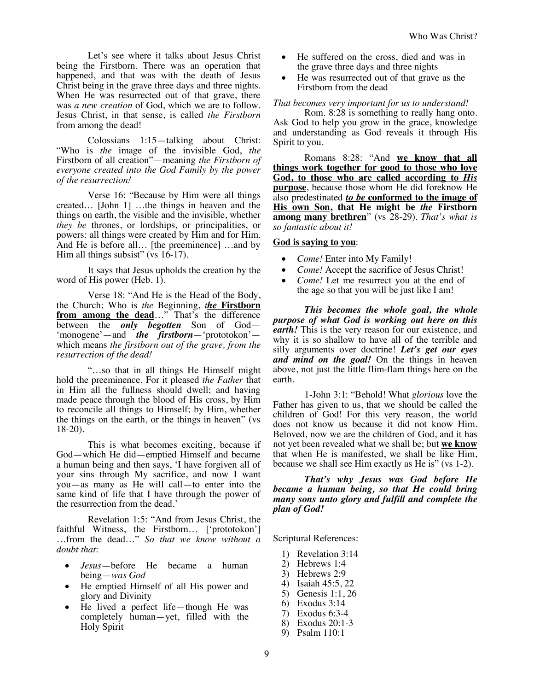Let's see where it talks about Jesus Christ being the Firstborn. There was an operation that happened, and that was with the death of Jesus Christ being in the grave three days and three nights. When He was resurrected out of that grave, there was *a new creation* of God, which we are to follow. Jesus Christ, in that sense, is called *the Firstborn* from among the dead!

Colossians 1:15—talking about Christ: "Who is *the* image of the invisible God, *the*  Firstborn of all creation"—meaning *the Firstborn of everyone created into the God Family by the power of the resurrection!*

Verse 16: "Because by Him were all things created… [John 1] …the things in heaven and the things on earth, the visible and the invisible, whether *they be* thrones, or lordships, or principalities, or powers: all things were created by Him and for Him. And He is before all… [the preeminence] …and by Him all things subsist" (vs 16-17).

It says that Jesus upholds the creation by the word of His power (Heb. 1).

Verse 18: "And He is the Head of the Body, the Church; Who is *the* Beginning, *the* **Firstborn from among the dead**…" That's the difference between the *only begotten* Son of God— 'monogene'—and *the firstborn*—'prototokon' which means *the firstborn out of the grave, from the resurrection of the dead!*

"…so that in all things He Himself might hold the preeminence. For it pleased *the Father* that in Him all the fullness should dwell; and having made peace through the blood of His cross, by Him to reconcile all things to Himself; by Him, whether the things on the earth, or the things in heaven" (vs 18-20).

This is what becomes exciting, because if God—which He did—emptied Himself and became a human being and then says, 'I have forgiven all of your sins through My sacrifice, and now I want you—as many as He will call—to enter into the same kind of life that I have through the power of the resurrection from the dead.'

Revelation 1:5: "And from Jesus Christ, the faithful Witness, the Firstborn… ['prototokon'] …from the dead…" *So that we know without a doubt that*:

- *Jesus*—before He became a human being—*was God*
- He emptied Himself of all His power and glory and Divinity
- He lived a perfect life—though He was completely human—yet, filled with the Holy Spirit
- He suffered on the cross, died and was in the grave three days and three nights
- He was resurrected out of that grave as the Firstborn from the dead

### *That becomes very important for us to understand!*

Rom. 8:28 is something to really hang onto. Ask God to help you grow in the grace, knowledge and understanding as God reveals it through His Spirit to you.

Romans 8:28: "And **we know that all things work together for good to those who love God, to those who are called according to** *His* **purpose**, because those whom He did foreknow He also predestinated *to be* **conformed to the image of His own Son, that He might be** *the* **Firstborn among many brethren**" (vs 28-29). *That's what is so fantastic about it!* 

#### **God is saying to you**:

- *Come!* Enter into My Family!
- *Come!* Accept the sacrifice of Jesus Christ!
- *Come!* Let me resurrect you at the end of the age so that you will be just like I am!

*This becomes the whole goal, the whole purpose of what God is working out here on this earth!* This is the very reason for our existence, and why it is so shallow to have all of the terrible and silly arguments over doctrine! *Let's get our eyes and mind on the goal!* On the things in heaven above, not just the little flim-flam things here on the earth.

1-John 3:1: "Behold! What *glorious* love the Father has given to us, that we should be called the children of God! For this very reason, the world does not know us because it did not know Him. Beloved, now we are the children of God, and it has not yet been revealed what we shall be; but **we know** that when He is manifested, we shall be like Him, because we shall see Him exactly as He is" (vs 1-2).

#### *That's why Jesus was God before He became a human being, so that He could bring many sons unto glory and fulfill and complete the plan of God!*

Scriptural References:

- 1) Revelation 3:14
- 2) Hebrews 1:4
- 3) Hebrews 2:9
- 4) Isaiah 45:5, 22
- 5) Genesis 1:1, 26
- 6) Exodus 3:14
- 7) Exodus 6:3-4
- 8) Exodus 20:1-3
- 9) Psalm 110:1